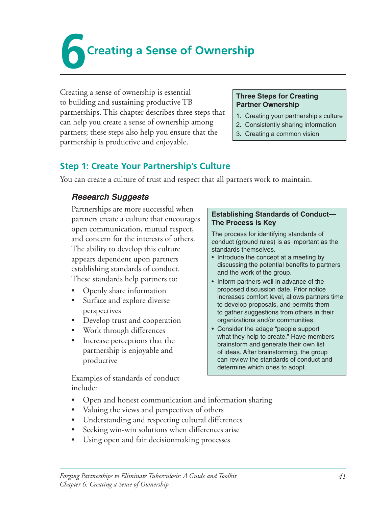**Creating a Sense of Ownership** 

Creating a sense of ownership is essential to building and sustaining productive TB partnerships. This chapter describes three steps that can help you create a sense of ownership among partners; these steps also help you ensure that the partnership is productive and enjoyable.

#### **Three Steps for Creating Partner Ownership**

- 1. Creating your partnership's culture
- 2. Consistently sharing information
- 3. Creating a common vision

### **Step 1: Create Your Partnership's Culture**

You can create a culture of trust and respect that all partners work to maintain.

### *Research Suggests*

Partnerships are more successful when partners create a culture that encourages open communication, mutual respect, and concern for the interests of others. The ability to develop this culture appears dependent upon partners establishing standards of conduct. These standards help partners to:

- Openly share information
- Surface and explore diverse perspectives
- Develop trust and cooperation
- Work through differences
- Increase perceptions that the partnership is enjoyable and productive

Examples of standards of conduct include:

### **Establishing Standards of Conduct— The Process is Key**

The process for identifying standards of conduct (ground rules) is as important as the standards themselves.

- Introduce the concept at a meeting by discussing the potential benefits to partners and the work of the group.
- Inform partners well in advance of the proposed discussion date. Prior notice increases comfort level, allows partners time to develop proposals, and permits them to gather suggestions from others in their organizations and/or communities.
- Consider the adage "people support what they help to create." Have members brainstorm and generate their own list of ideas. After brainstorming, the group can review the standards of conduct and determine which ones to adopt.
- Open and honest communication and information sharing
- Valuing the views and perspectives of others
- Understanding and respecting cultural differences
- Seeking win-win solutions when differences arise
- Using open and fair decisionmaking processes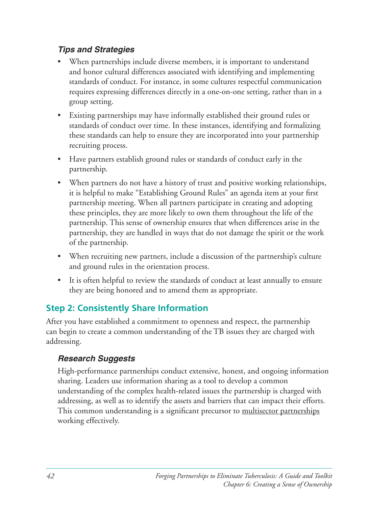### *Tips and Strategies*

- When partnerships include diverse members, it is important to understand and honor cultural differences associated with identifying and implementing standards of conduct. For instance, in some cultures respectful communication requires expressing differences directly in a one-on-one setting, rather than in a group setting.
- Existing partnerships may have informally established their ground rules or standards of conduct over time. In these instances, identifying and formalizing these standards can help to ensure they are incorporated into your partnership recruiting process.
- Have partners establish ground rules or standards of conduct early in the partnership.
- When partners do not have a history of trust and positive working relationships, it is helpful to make "Establishing Ground Rules" an agenda item at your first partnership meeting. When all partners participate in creating and adopting these principles, they are more likely to own them throughout the life of the partnership. This sense of ownership ensures that when differences arise in the partnership, they are handled in ways that do not damage the spirit or the work of the partnership.
- When recruiting new partners, include a discussion of the partnership's culture and ground rules in the orientation process.
- It is often helpful to review the standards of conduct at least annually to ensure they are being honored and to amend them as appropriate.

## **Step 2: Consistently Share Information**

After you have established a commitment to openness and respect, the partnership can begin to create a common understanding of the TB issues they are charged with addressing. 

### *Research Suggests*

High-performance partnerships conduct extensive, honest, and ongoing information sharing. Leaders use information sharing as a tool to develop a common understanding of the complex health-related issues the partnership is charged with addressing, as well as to identify the assets and barriers that can impact their efforts. This common understanding is a significant precursor to multisector partnerships working effectively.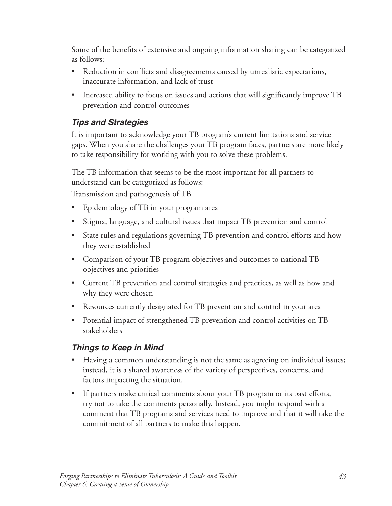Some of the benefits of extensive and ongoing information sharing can be categorized as follows:

- Reduction in conflicts and disagreements caused by unrealistic expectations, inaccurate information, and lack of trust
- Increased ability to focus on issues and actions that will significantly improve TB prevention and control outcomes

### *Tips and Strategies*

It is important to acknowledge your TB program's current limitations and service gaps. When you share the challenges your TB program faces, partners are more likely to take responsibility for working with you to solve these problems.

The TB information that seems to be the most important for all partners to understand can be categorized as follows:

Transmission and pathogenesis of TB

- Epidemiology of TB in your program area
- Stigma, language, and cultural issues that impact TB prevention and control
- State rules and regulations governing TB prevention and control efforts and how they were established
- Comparison of your TB program objectives and outcomes to national TB objectives and priorities
- Current TB prevention and control strategies and practices, as well as how and why they were chosen
- Resources currently designated for TB prevention and control in your area
- Potential impact of strengthened TB prevention and control activities on TB stakeholders

### *Things to Keep in Mind*

- Having a common understanding is not the same as agreeing on individual issues; instead, it is a shared awareness of the variety of perspectives, concerns, and factors impacting the situation.
- If partners make critical comments about your TB program or its past efforts, try not to take the comments personally. Instead, you might respond with a comment that TB programs and services need to improve and that it will take the commitment of all partners to make this happen.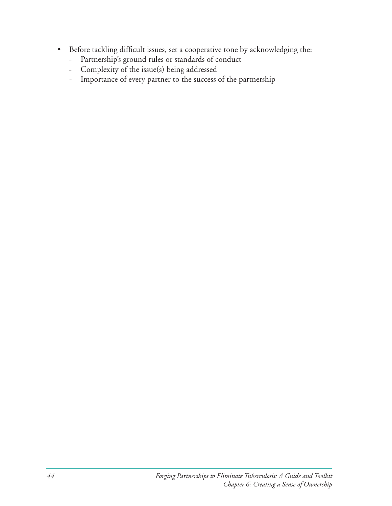- Before tackling difficult issues, set a cooperative tone by acknowledging the:
	- Partnership's ground rules or standards of conduct
	- Complexity of the issue(s) being addressed
	- Importance of every partner to the success of the partnership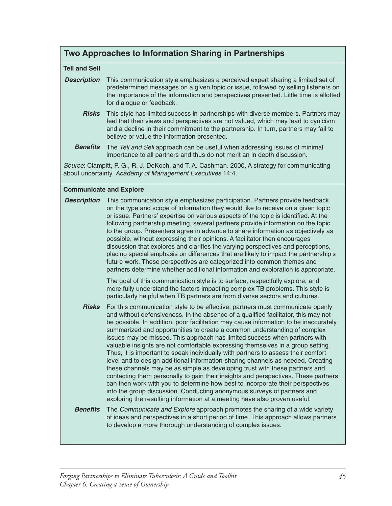### **Two Approaches to Information Sharing in Partnerships**

#### **Tell and Sell**

- **Description** This communication style emphasizes a perceived expert sharing a limited set of predetermined messages on a given topic or issue, followed by selling listeners on the importance of the information and perspectives presented. Little time is allotted for dialogue or feedback.
	- **Risks** This style has limited success in partnerships with diverse members. Partners may feel that their views and perspectives are not valued, which may lead to cynicism and a decline in their commitment to the partnership. In turn, partners may fail to believe or value the information presented.
	- **Benefits** The *Tell and Sell* approach can be useful when addressing issues of minimal importance to all partners and thus do not merit an in depth discussion.

*Source*: Clampitt, P. G., R. J. DeKoch, and T. A. Cashman. 2000. A strategy for communicating about uncertainty. *Academy of Management Executives* 14:4.

#### **Communicate and Explore**

**Description** This communication style emphasizes participation. Partners provide feedback on the type and scope of information they would like to receive on a given topic or issue. Partners' expertise on various aspects of the topic is identified. At the following partnership meeting, several partners provide information on the topic to the group. Presenters agree in advance to share information as objectively as possible, without expressing their opinions. A facilitator then encourages discussion that explores and clarifies the varying perspectives and perceptions, placing special emphasis on differences that are likely to impact the partnership's future work. These perspectives are categorized into common themes and partners determine whether additional information and exploration is appropriate.

> The goal of this communication style is to surface, respectfully explore, and more fully understand the factors impacting complex TB problems. This style is particularly helpful when TB partners are from diverse sectors and cultures.

*Risks* For this communication style to be effective, partners must communicate openly and without defensiveness. In the absence of a qualified facilitator, this may not be possible. In addition, poor facilitation may cause information to be inaccurately summarized and opportunities to create a common understanding of complex issues may be missed. This approach has limited success when partners with valuable insights are not comfortable expressing themselves in a group setting. Thus, it is important to speak individually with partners to assess their comfort level and to design additional information-sharing channels as needed. Creating these channels may be as simple as developing trust with these partners and contacting them personally to gain their insights and perspectives. These partners can then work with you to determine how best to incorporate their perspectives into the group discussion. Conducting anonymous surveys of partners and exploring the resulting information at a meeting have also proven useful.

#### **Benefits** The *Communicate and Explore* approach promotes the sharing of a wide variety of ideas and perspectives in a short period of time. This approach allows partners to develop a more thorough understanding of complex issues.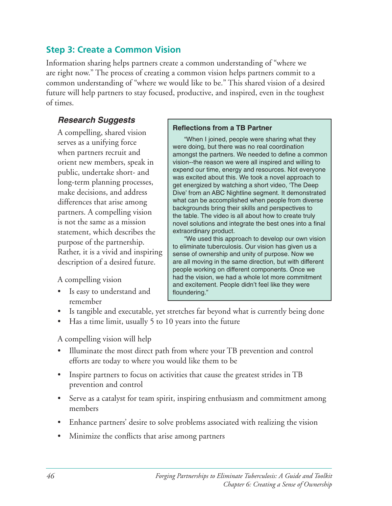### **Step 3: Create a Common Vision**

Information sharing helps partners create a common understanding of "where we are right now." The process of creating a common vision helps partners commit to a common understanding of "where we would like to be." This shared vision of a desired future will help partners to stay focused, productive, and inspired, even in the toughest of times.

### *Research Suggests*

statement, which describes the extraordinary product.<br>"We used this approach to develop our own vision"

Is easy to understand and **floundering.**" remember

A compelling, shared vision<br>serves as a unifying force<br>when I joined, people were sharing what they<br>when partners recruit and<br>amongst the partners. We needed to define a common orient new members, speak in vision--the reason we were all inspired and willing to<br>expend our time, energy and resources. Not everyone public, undertake short- and<br>long-term planning processes,<br>make decisions, and address<br>pive' from an ABC Nightline segment. It demonstrate Dive' from an ABC Nightline segment. It demonstrated differences that arise among what can be accomplished when people from diverse<br>backgrounds bring their skills and perspectives to partners. A compelling vision the table. The video is all about how to create truly is not the same as a mission novel solutions and integrate the best ones into a final

purpose of the partnership.<br>
Rather, it is a vivid and inspiring sense of ownership and unity of purpose. Now we  $\frac{1}{2}$  description of a desired future.  $\frac{1}{2}$  are all moving in the same direction, but with different people working on different components. Once we A compelling vision had the vision, we had a whole lot more commitment<br>and excitement. People didn't feel like they were

- Is tangible and executable, yet stretches far beyond what is currently being done
- Has a time limit, usually  $5$  to 10 years into the future

A compelling vision will help

- Illuminate the most direct path from where your TB prevention and control efforts are today to where you would like them to be
- Inspire partners to focus on activities that cause the greatest strides in TB prevention and control
- Serve as a catalyst for team spirit, inspiring enthusiasm and commitment among members
- Enhance partners' desire to solve problems associated with realizing the vision
- Minimize the conflicts that arise among partners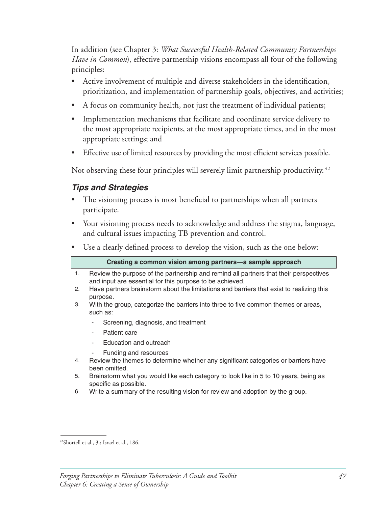In addition (see Chapter 3: *What Successful Health-Related Community Partnerships Have in Common*), effective partnership visions encompass all four of the following principles: 

- Active involvement of multiple and diverse stakeholders in the identification, prioritization, and implementation of partnership goals, objectives, and activities;
- A focus on community health, not just the treatment of individual patients;
- Implementation mechanisms that facilitate and coordinate service delivery to the most appropriate recipients, at the most appropriate times, and in the most appropriate settings; and
- Effective use of limited resources by providing the most efficient services possible.

Not observing these four principles will severely limit partnership productivity.  $42$ 

### *Tips and Strategies*

- The visioning process is most beneficial to partnerships when all partners participate.
- Your visioning process needs to acknowledge and address the stigma, language, and cultural issues impacting TB prevention and control.
- Use a clearly defined process to develop the vision, such as the one below:

|    | Creating a common vision among partners-a sample approach                                                                                         |
|----|---------------------------------------------------------------------------------------------------------------------------------------------------|
| 1. | Review the purpose of the partnership and remind all partners that their perspectives<br>and input are essential for this purpose to be achieved. |
| 2. | Have partners brainstorm about the limitations and barriers that exist to realizing this<br>purpose.                                              |
| 3. | With the group, categorize the barriers into three to five common themes or areas,<br>such as:                                                    |
|    | Screening, diagnosis, and treatment<br>٠                                                                                                          |
|    | Patient care<br>۰                                                                                                                                 |
|    | Education and outreach<br>٠                                                                                                                       |
|    | Funding and resources<br>۰                                                                                                                        |
| 4. | Review the themes to determine whether any significant categories or barriers have<br>been omitted.                                               |
| 5. | Brainstorm what you would like each category to look like in 5 to 10 years, being as<br>specific as possible.                                     |
| 6. | Write a summary of the resulting vision for review and adoption by the group.                                                                     |

 $42$ Shortell et al.,  $3$ .; Israel et al., 186.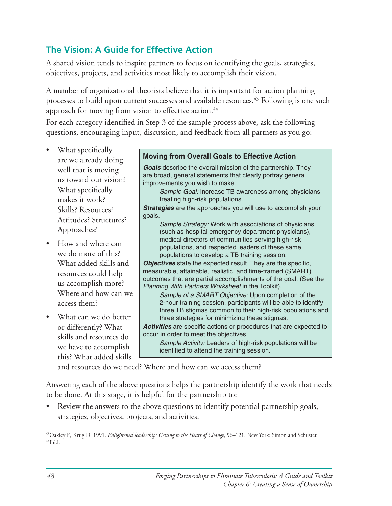### **The Vision: A Guide for Effective Action**

A shared vision tends to inspire partners to focus on identifying the goals, strategies, objectives, projects, and activities most likely to accomplish their vision.

A number of organizational theorists believe that it is important for action planning processes to build upon current successes and available resources.<sup>43</sup> Following is one such approach for moving from vision to effective action.<sup>44</sup>

For each category identified in Step 3 of the sample process above, ask the following questions, encouraging input, discussion, and feedback from all partners as you go:

- 
- 
- this? What added skills

# What specifically **Moving from Overall Goals to Effective Action Action Moving from Overall Goals to Effective Action**

well that is moving **Goals** describe the overall mission of the partnership. They we have to the vary of the vary of the vary of the vary of the broad, general statements that clearly portray general improvements you wish to make.<br>What specifically Sample Goal: Increase TB awareness among physic

Sample Goal: Increase TB awareness among physicians makes it work?<br> **treating high-risk populations.** 

Skills? Resources? **Strategies** are the approaches you will use to accomplish your

Attitudes? Structures? **Sample Strategy:** Work with associations of physicians Approaches? (such as hospital emergency department physicians), How and where can<br>
we do more of this?<br>  $\begin{array}{r} \text{mediations, and respected leaders of these same} \\ \text{populations to develop a TR training session} \end{array}$ populations to develop a TB training session.

What added skills and *Objectives* state the expected result. They are the specific, resources could help **reasurable**, attainable, realistic, and time-framed (SMART) resources could help<br>
us accomplish more?<br>
Where and how can we<br> *Planning With Partners Worksheet* in the Toolkit).<br>
Sample of a SMART Objective: Upon completion of the

Sample of a SMART Objective: Upon completion of the access them? 2-hour training session, participants will be able to identify three TB stigmas common to their high-risk populations and What can we do better  $\parallel$  three strategies for minimizing these stigmas.

or differently? What **Activities** are specific actions or procedures that are expected to skills and resources  $\frac{1}{10}$  occur in order to meet the objectives.

**Sample Activity:** Leaders of high-risk populations will be we have to accomplish identified to attend the training session.

and resources do we need? Where and how can we access them?

Answering each of the above questions helps the partnership identify the work that needs to be done. At this stage, it is helpful for the partnership to:

Review the answers to the above questions to identify potential partnership goals, strategies, objectives, projects, and activities.

<sup>&</sup>lt;sup>43</sup>Oakley E, Krug D. 1991. *Enlightened leadership: Getting to the Heart of Change,* 96–121. New York: Simon and Schuster.<br><sup>44</sup>Ibid.